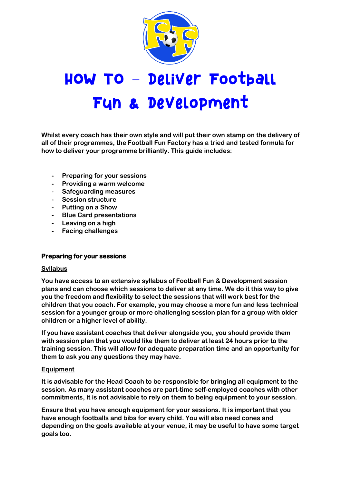

# HOW TO - Deliver Football Fyn & Development

**Whilst every coach has their own style and will put their own stamp on the delivery of all of their programmes, the Football Fun Factory has a tried and tested formula for how to deliver your programme brilliantly. This guide includes:**

- **- Preparing for your sessions**
- **- Providing a warm welcome**
- **- Safeguarding measures**
- **- Session structure**
- **- Putting on a Show**
- **- Blue Card presentations**
- **- Leaving on a high**
- **- Facing challenges**

#### **Preparing for your sessions**

#### **Syllabus**

**You have access to an extensive syllabus of Football Fun & Development session plans and can choose which sessions to deliver at any time. We do it this way to give you the freedom and flexibility to select the sessions that will work best for the children that you coach. For example, you may choose a more fun and less technical session for a younger group or more challenging session plan for a group with older children or a higher level of ability.**

**If you have assistant coaches that deliver alongside you, you should provide them with session plan that you would like them to deliver at least 24 hours prior to the training session. This will allow for adequate preparation time and an opportunity for them to ask you any questions they may have.**

#### **Equipment**

**It is advisable for the Head Coach to be responsible for bringing all equipment to the session. As many assistant coaches are part-time self-employed coaches with other commitments, it is not advisable to rely on them to being equipment to your session.** 

**Ensure that you have enough equipment for your sessions. It is important that you have enough footballs and bibs for every child. You will also need cones and depending on the goals available at your venue, it may be useful to have some target goals too.**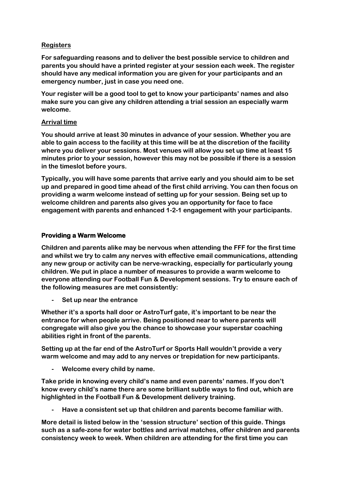## **Registers**

**For safeguarding reasons and to deliver the best possible service to children and parents you should have a printed register at your session each week. The register should have any medical information you are given for your participants and an emergency number, just in case you need one.**

**Your register will be a good tool to get to know your participants' names and also make sure you can give any children attending a trial session an especially warm welcome.** 

## **Arrival time**

**You should arrive at least 30 minutes in advance of your session. Whether you are able to gain access to the facility at this time will be at the discretion of the facility where you deliver your sessions. Most venues will allow you set up time at least 15 minutes prior to your session, however this may not be possible if there is a session in the timeslot before yours.**

**Typically, you will have some parents that arrive early and you should aim to be set up and prepared in good time ahead of the first child arriving. You can then focus on providing a warm welcome instead of setting up for your session. Being set up to welcome children and parents also gives you an opportunity for face to face engagement with parents and enhanced 1-2-1 engagement with your participants.**

# **Providing a Warm Welcome**

**Children and parents alike may be nervous when attending the FFF for the first time and whilst we try to calm any nerves with effective email communications, attending any new group or activity can be nerve-wracking, especially for particularly young children. We put in place a number of measures to provide a warm welcome to everyone attending our Football Fun & Development sessions. Try to ensure each of the following measures are met consistently:**

**- Set up near the entrance**

**Whether it's a sports hall door or AstroTurf gate, it's important to be near the entrance for when people arrive. Being positioned near to where parents will congregate will also give you the chance to showcase your superstar coaching abilities right in front of the parents.** 

**Setting up at the far end of the AstroTurf or Sports Hall wouldn't provide a very warm welcome and may add to any nerves or trepidation for new participants.**

**- Welcome every child by name.**

**Take pride in knowing every child's name and even parents' names. If you don't know every child's name there are some brilliant subtle ways to find out, which are highlighted in the Football Fun & Development delivery training.**

**- Have a consistent set up that children and parents become familiar with.**

**More detail is listed below in the 'session structure' section of this guide. Things such as a safe-zone for water bottles and arrival matches, offer children and parents consistency week to week. When children are attending for the first time you can**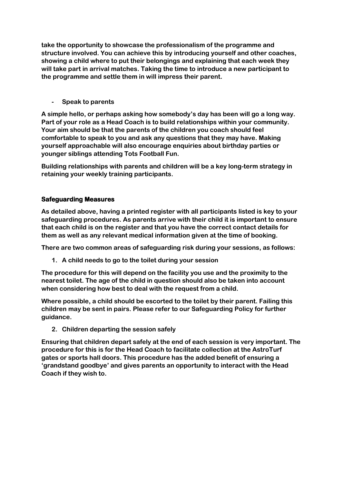**take the opportunity to showcase the professionalism of the programme and structure involved. You can achieve this by introducing yourself and other coaches, showing a child where to put their belongings and explaining that each week they will take part in arrival matches. Taking the time to introduce a new participant to the programme and settle them in will impress their parent.**

**- Speak to parents**

**A simple hello, or perhaps asking how somebody's day has been will go a long way. Part of your role as a Head Coach is to build relationships within your community. Your aim should be that the parents of the children you coach should feel comfortable to speak to you and ask any questions that they may have. Making yourself approachable will also encourage enquiries about birthday parties or younger siblings attending Tots Football Fun.**

**Building relationships with parents and children will be a key long-term strategy in retaining your weekly training participants.**

# **Safeguarding Measures**

**As detailed above, having a printed register with all participants listed is key to your safeguarding procedures. As parents arrive with their child it is important to ensure that each child is on the register and that you have the correct contact details for them as well as any relevant medical information given at the time of booking.**

**There are two common areas of safeguarding risk during your sessions, as follows:**

**1. A child needs to go to the toilet during your session**

**The procedure for this will depend on the facility you use and the proximity to the nearest toilet. The age of the child in question should also be taken into account when considering how best to deal with the request from a child.**

**Where possible, a child should be escorted to the toilet by their parent. Failing this children may be sent in pairs. Please refer to our Safeguarding Policy for further guidance.**

**2. Children departing the session safely**

**Ensuring that children depart safely at the end of each session is very important. The procedure for this is for the Head Coach to facilitate collection at the AstroTurf gates or sports hall doors. This procedure has the added benefit of ensuring a 'grandstand goodbye' and gives parents an opportunity to interact with the Head Coach if they wish to.**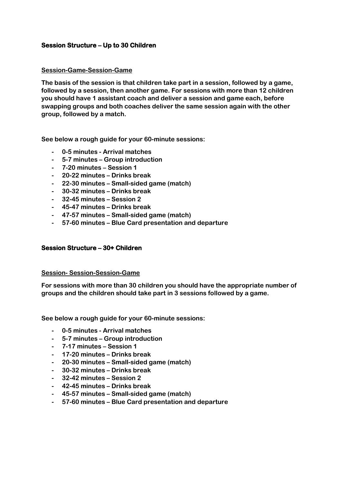## **Session Structure – Up to 30 Children**

#### **Session-Game-Session-Game**

**The basis of the session is that children take part in a session, followed by a game, followed by a session, then another game. For sessions with more than 12 children you should have 1 assistant coach and deliver a session and game each, before swapping groups and both coaches deliver the same session again with the other group, followed by a match.**

**See below a rough guide for your 60-minute sessions:**

- **- 0-5 minutes - Arrival matches**
- **- 5-7 minutes – Group introduction**
- **- 7-20 minutes – Session 1**
- **- 20-22 minutes – Drinks break**
- **- 22-30 minutes – Small-sided game (match)**
- **- 30-32 minutes – Drinks break**
- **- 32-45 minutes – Session 2**
- **- 45-47 minutes – Drinks break**
- **- 47-57 minutes – Small-sided game (match)**
- **- 57-60 minutes – Blue Card presentation and departure**

#### **Session Structure – 30+ Children**

#### **Session- Session-Session-Game**

**For sessions with more than 30 children you should have the appropriate number of groups and the children should take part in 3 sessions followed by a game.**

**See below a rough guide for your 60-minute sessions:**

- **- 0-5 minutes - Arrival matches**
- **- 5-7 minutes – Group introduction**
- **- 7-17 minutes – Session 1**
- **- 17-20 minutes – Drinks break**
- **- 20-30 minutes – Small-sided game (match)**
- **- 30-32 minutes – Drinks break**
- **- 32-42 minutes – Session 2**
- **- 42-45 minutes – Drinks break**
- **- 45-57 minutes – Small-sided game (match)**
- **- 57-60 minutes – Blue Card presentation and departure**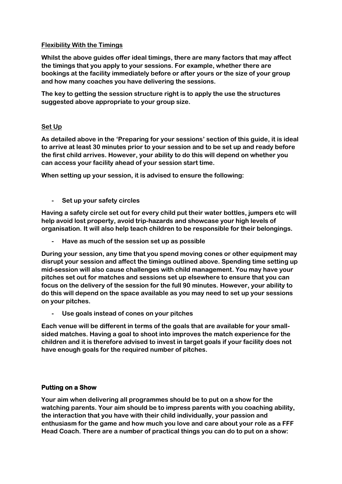## **Flexibility With the Timings**

**Whilst the above guides offer ideal timings, there are many factors that may affect the timings that you apply to your sessions. For example, whether there are bookings at the facility immediately before or after yours or the size of your group and how many coaches you have delivering the sessions.**

**The key to getting the session structure right is to apply the use the structures suggested above appropriate to your group size.**

# **Set Up**

**As detailed above in the 'Preparing for your sessions' section of this guide, it is ideal to arrive at least 30 minutes prior to your session and to be set up and ready before the first child arrives. However, your ability to do this will depend on whether you can access your facility ahead of your session start time.**

**When setting up your session, it is advised to ensure the following:**

**- Set up your safety circles**

**Having a safety circle set out for every child put their water bottles, jumpers etc will help avoid lost property, avoid trip-hazards and showcase your high levels of organisation. It will also help teach children to be responsible for their belongings.**

**- Have as much of the session set up as possible**

**During your session, any time that you spend moving cones or other equipment may disrupt your session and affect the timings outlined above. Spending time setting up mid-session will also cause challenges with child management. You may have your pitches set out for matches and sessions set up elsewhere to ensure that you can focus on the delivery of the session for the full 90 minutes. However, your ability to do this will depend on the space available as you may need to set up your sessions on your pitches.**

**- Use goals instead of cones on your pitches**

**Each venue will be different in terms of the goals that are available for your smallsided matches. Having a goal to shoot into improves the match experience for the children and it is therefore advised to invest in target goals if your facility does not have enough goals for the required number of pitches.**

# **Putting on a Show**

**Your aim when delivering all programmes should be to put on a show for the watching parents. Your aim should be to impress parents with you coaching ability, the interaction that you have with their child individually, your passion and enthusiasm for the game and how much you love and care about your role as a FFF Head Coach. There are a number of practical things you can do to put on a show:**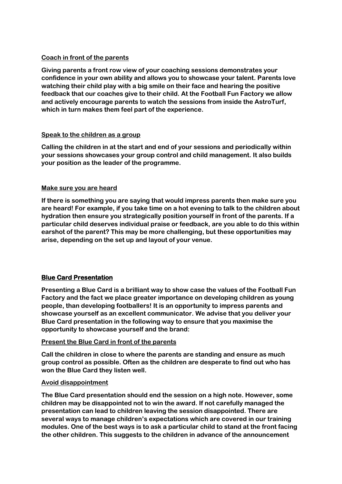# **Coach in front of the parents**

**Giving parents a front row view of your coaching sessions demonstrates your confidence in your own ability and allows you to showcase your talent. Parents love watching their child play with a big smile on their face and hearing the positive feedback that our coaches give to their child. At the Football Fun Factory we allow and actively encourage parents to watch the sessions from inside the AstroTurf, which in turn makes them feel part of the experience.** 

# **Speak to the children as a group**

**Calling the children in at the start and end of your sessions and periodically within your sessions showcases your group control and child management. It also builds your position as the leader of the programme.**

## **Make sure you are heard**

**If there is something you are saying that would impress parents then make sure you are heard! For example, if you take time on a hot evening to talk to the children about hydration then ensure you strategically position yourself in front of the parents. If a particular child deserves individual praise or feedback, are you able to do this within earshot of the parent? This may be more challenging, but these opportunities may arise, depending on the set up and layout of your venue.**

# **Blue Card Presentation**

**Presenting a Blue Card is a brilliant way to show case the values of the Football Fun Factory and the fact we place greater importance on developing children as young people, than developing footballers! It is an opportunity to impress parents and showcase yourself as an excellent communicator. We advise that you deliver your Blue Card presentation in the following way to ensure that you maximise the opportunity to showcase yourself and the brand:**

# **Present the Blue Card in front of the parents**

**Call the children in close to where the parents are standing and ensure as much group control as possible. Often as the children are desperate to find out who has won the Blue Card they listen well.** 

# **Avoid disappointment**

**The Blue Card presentation should end the session on a high note. However, some children may be disappointed not to win the award. If not carefully managed the presentation can lead to children leaving the session disappointed. There are several ways to manage children's expectations which are covered in our training modules. One of the best ways is to ask a particular child to stand at the front facing the other children. This suggests to the children in advance of the announcement**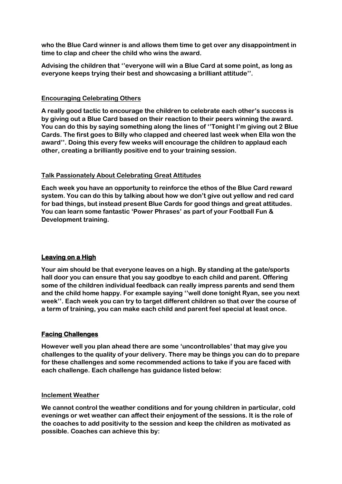**who the Blue Card winner is and allows them time to get over any disappointment in time to clap and cheer the child who wins the award.**

**Advising the children that ''everyone will win a Blue Card at some point, as long as everyone keeps trying their best and showcasing a brilliant attitude''.**

#### **Encouraging Celebrating Others**

**A really good tactic to encourage the children to celebrate each other's success is by giving out a Blue Card based on their reaction to their peers winning the award. You can do this by saying something along the lines of ''Tonight I'm giving out 2 Blue Cards. The first goes to Billy who clapped and cheered last week when Ella won the award''. Doing this every few weeks will encourage the children to applaud each other, creating a brilliantly positive end to your training session.**

## **Talk Passionately About Celebrating Great Attitudes**

**Each week you have an opportunity to reinforce the ethos of the Blue Card reward system. You can do this by talking about how we don't give out yellow and red card for bad things, but instead present Blue Cards for good things and great attitudes. You can learn some fantastic 'Power Phrases' as part of your Football Fun & Development training.**

# **Leaving on a High**

**Your aim should be that everyone leaves on a high. By standing at the gate/sports hall door you can ensure that you say goodbye to each child and parent. Offering some of the children individual feedback can really impress parents and send them and the child home happy. For example saying ''well done tonight Ryan, see you next week''. Each week you can try to target different children so that over the course of a term of training, you can make each child and parent feel special at least once.**

# **Facing Challenges**

**However well you plan ahead there are some 'uncontrollables' that may give you challenges to the quality of your delivery. There may be things you can do to prepare for these challenges and some recommended actions to take if you are faced with each challenge. Each challenge has guidance listed below:**

#### **Inclement Weather**

**We cannot control the weather conditions and for young children in particular, cold evenings or wet weather can affect their enjoyment of the sessions. It is the role of the coaches to add positivity to the session and keep the children as motivated as possible. Coaches can achieve this by:**